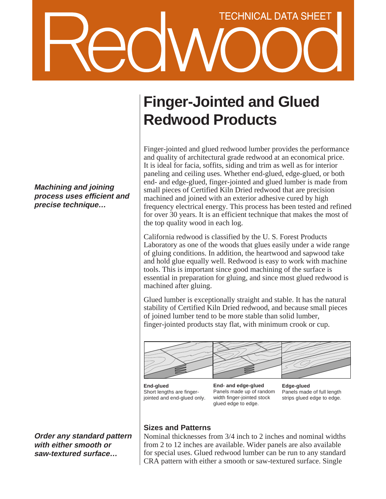# **TECHNICAL DATA SHEET**

**Machining and joining process uses efficient and precise technique…**

**Order any standard pattern with either smooth or saw-textured surface…**

# **Finger-Jointed and Glued Redwood Products**

Finger-jointed and glued redwood lumber provides the performance and quality of architectural grade redwood at an economical price. It is ideal for facia, soffits, siding and trim as well as for interior paneling and ceiling uses. Whether end-glued, edge-glued, or both end- and edge-glued, finger-jointed and glued lumber is made from small pieces of Certified Kiln Dried redwood that are precision machined and joined with an exterior adhesive cured by high frequency electrical energy. This process has been tested and refined for over 30 years. It is an efficient technique that makes the most of the top quality wood in each log.

California redwood is classified by the U. S. Forest Products Laboratory as one of the woods that glues easily under a wide range of gluing conditions. In addition, the heartwood and sapwood take and hold glue equally well. Redwood is easy to work with machine tools. This is important since good machining of the surface is essential in preparation for gluing, and since most glued redwood is machined after gluing.

Glued lumber is exceptionally straight and stable. It has the natural stability of Certified Kiln Dried redwood, and because small pieces of joined lumber tend to be more stable than solid lumber, finger-jointed products stay flat, with minimum crook or cup.



**End-glued** Short lengths are fingerjointed and end-glued only.

**End- and edge-glued** Panels made up of random width finger-jointed stock glued edge to edge.

**Edge-glued** Panels made of full length strips glued edge to edge.

## **Sizes and Patterns**

Nominal thicknesses from 3/4 inch to 2 inches and nominal widths from 2 to 12 inches are available. Wider panels are also available for special uses. Glued redwood lumber can be run to any standard CRA pattern with either a smooth or saw-textured surface. Single